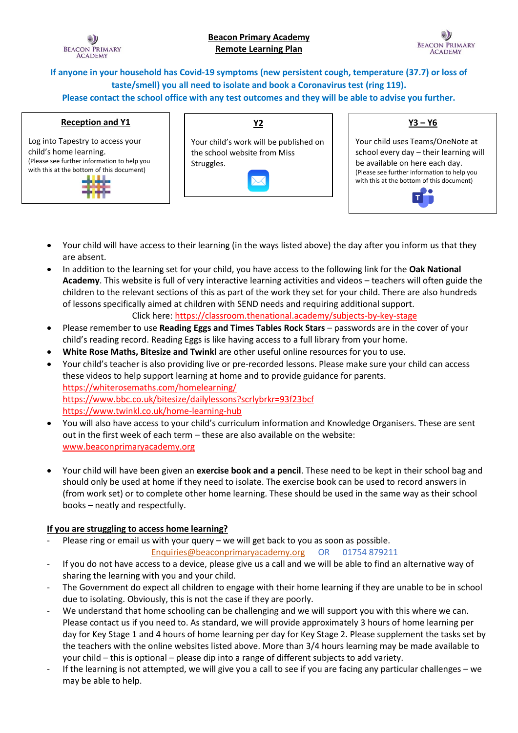

**If anyone in your household has Covid-19 symptoms (new persistent cough, temperature (37.7) or loss of taste/smell) you all need to isolate and book a Coronavirus test (ring 119). Please contact the school office with any test outcomes and they will be able to advise you further.** 

### **Reception and Y1**

Log into Tapestry to access your child's home learning. (Please see further information to help you with this at the bottom of this document)



# **Y3 – Y6**

Your child uses Teams/OneNote at school every day – their learning will be available on here each day. (Please see further information to help you with this at the bottom of this document)



- Your child will have access to their learning (in the ways listed above) the day after you inform us that they are absent.
- In addition to the learning set for your child, you have access to the following link for the **Oak National Academy**. This website is full of very interactive learning activities and videos – teachers will often guide the children to the relevant sections of this as part of the work they set for your child. There are also hundreds of lessons specifically aimed at children with SEND needs and requiring additional support.

Click here:<https://classroom.thenational.academy/subjects-by-key-stage>

- Please remember to use **Reading Eggs and Times Tables Rock Stars** passwords are in the cover of your child's reading record. Reading Eggs is like having access to a full library from your home.
- **White Rose Maths, Bitesize and Twinkl** are other useful online resources for you to use.
- Your child's teacher is also providing live or pre-recorded lessons. Please make sure your child can access these videos to help support learning at home and to provide guidance for parents. <https://whiterosemaths.com/homelearning/> <https://www.bbc.co.uk/bitesize/dailylessons?scrlybrkr=93f23bcf> <https://www.twinkl.co.uk/home-learning-hub>
- You will also have access to your child's curriculum information and Knowledge Organisers. These are sent out in the first week of each term – these are also available on the website: [www.beaconprimaryacademy.org](http://www.beaconprimaryacademy.org/)
- Your child will have been given an **exercise book and a pencil**. These need to be kept in their school bag and should only be used at home if they need to isolate. The exercise book can be used to record answers in (from work set) or to complete other home learning. These should be used in the same way as their school books – neatly and respectfully.

## **If you are struggling to access home learning?**

- Please ring or email us with your query we will get back to you as soon as possible. [Enquiries@beaconprimaryacademy.org](mailto:Enquiries@beaconprimaryacademy.org) OR 01754 879211
- If you do not have access to a device, please give us a call and we will be able to find an alternative way of sharing the learning with you and your child.
- The Government do expect all children to engage with their home learning if they are unable to be in school due to isolating. Obviously, this is not the case if they are poorly.
- We understand that home schooling can be challenging and we will support you with this where we can. Please contact us if you need to. As standard, we will provide approximately 3 hours of home learning per day for Key Stage 1 and 4 hours of home learning per day for Key Stage 2. Please supplement the tasks set by the teachers with the online websites listed above. More than 3/4 hours learning may be made available to your child – this is optional – please dip into a range of different subjects to add variety.
- If the learning is not attempted, we will give you a call to see if you are facing any particular challenges we may be able to help.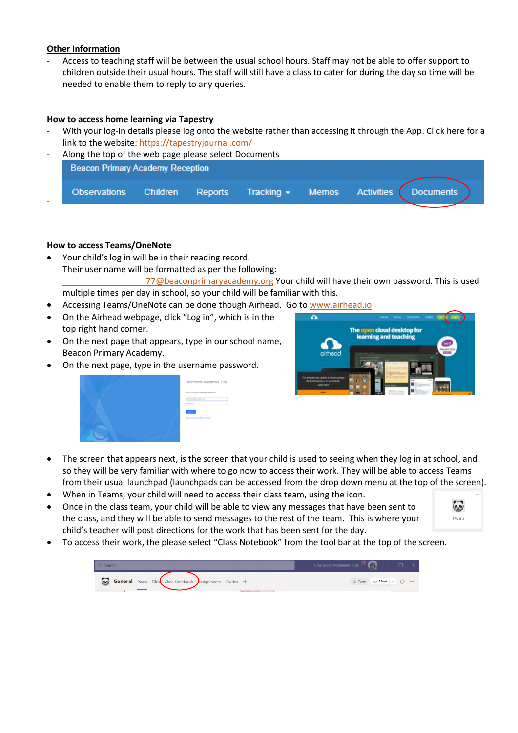### **Other Information**

- Access to teaching staff will be between the usual school hours. Staff may not be able to offer support to children outside their usual hours. The staff will still have a class to cater for during the day so time will be needed to enable them to reply to any queries.

## **How to access home learning via Tapestry**

With your log-in details please log onto the website rather than accessing it through the App. Click here for a link to the website:<https://tapestryjournal.com/>

| $\overline{\phantom{a}}$ | Along the top of the web page please select Documents |                 |         |                                               |  |                             |  |
|--------------------------|-------------------------------------------------------|-----------------|---------|-----------------------------------------------|--|-----------------------------|--|
|                          | <b>Beacon Primary Academy Reception</b>               |                 |         |                                               |  |                             |  |
|                          |                                                       |                 |         |                                               |  |                             |  |
|                          | <b>Observations</b>                                   | <b>Children</b> | Reports | $\blacksquare$ Tracking $\blacktriangleright$ |  | Memos Activities (Documents |  |
|                          |                                                       |                 |         |                                               |  |                             |  |

## **How to access Teams/OneNote**

- Your child's log in will be in their reading record. Their user name will be formatted as per the following: .77@beaconprimaryacademy.org Your child will have their own password. This is used multiple times per day in school, so your child will be familiar with this.
- Accessing Teams/OneNote can be done though Airhead. Go to [www.airhead.io](http://www.airhead.io/)
- On the Airhead webpage, click "Log in", which is in the top right hand corner.
- On the next page that appears, type in our school name, Beacon Primary Academy.
- On the next page, type in the username password.

|        | Greenwood Academies Trust                                       |
|--------|-----------------------------------------------------------------|
|        | Sign in with your regardational account                         |
|        | <b>And All Controllers</b>                                      |
| $\sim$ | Parentel<br><b>Signiti</b><br>Sign in using an X309 certificate |



- The screen that appears next, is the screen that your child is used to seeing when they log in at school, and so they will be very familiar with where to go now to access their work. They will be able to access Teams from their usual launchpad (launchpads can be accessed from the drop down menu at the top of the screen).
- When in Teams, your child will need to access their class team, using the icon.
- Once in the class team, your child will be able to view any messages that have been sent to the class, and they will be able to send messages to the rest of the team. This is where your child's teacher will post directions for the work that has been sent for the day.



• To access their work, the please select "Class Notebook" from the tool bar at the top of the screen.